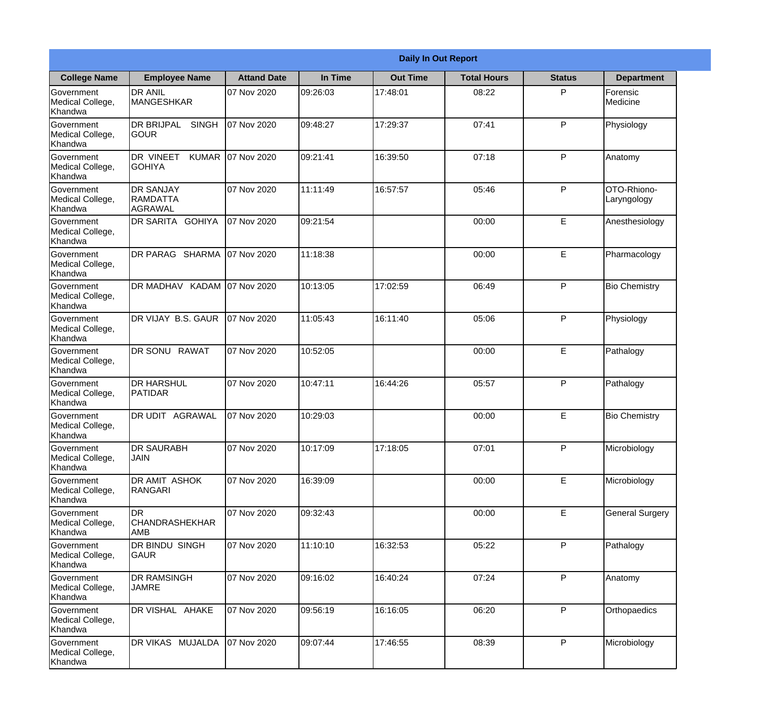|                                                  |                                                   |                    |          | <b>Daily In Out Report</b> |                    |               |                            |
|--------------------------------------------------|---------------------------------------------------|--------------------|----------|----------------------------|--------------------|---------------|----------------------------|
| <b>College Name</b>                              | <b>Employee Name</b>                              | <b>Attand Date</b> | In Time  | <b>Out Time</b>            | <b>Total Hours</b> | <b>Status</b> | <b>Department</b>          |
| Government<br>Medical College,<br>Khandwa        | <b>DR ANIL</b><br><b>MANGESHKAR</b>               | 07 Nov 2020        | 09:26:03 | 17:48:01                   | 08:22              | P             | Forensic<br>Medicine       |
| Government<br>Medical College,<br>Khandwa        | <b>DR BRIJPAL</b><br><b>SINGH</b><br> GOUR        | 07 Nov 2020        | 09:48:27 | 17:29:37                   | 07:41              | P             | Physiology                 |
| <b>Government</b><br>Medical College,<br>Khandwa | <b>DR VINEET</b><br><b>KUMAR</b><br><b>GOHIYA</b> | 07 Nov 2020        | 09:21:41 | 16:39:50                   | 07:18              | P             | Anatomy                    |
| <b>Government</b><br>Medical College,<br>Khandwa | <b>DR SANJAY</b><br>RAMDATTA<br><b>AGRAWAL</b>    | 07 Nov 2020        | 11:11:49 | 16:57:57                   | 05:46              | P             | OTO-Rhiono-<br>Laryngology |
| Government<br>Medical College,<br>Khandwa        | <b>DR SARITA GOHIYA</b>                           | 07 Nov 2020        | 09:21:54 |                            | 00:00              | E             | Anesthesiology             |
| Government<br>Medical College,<br>Khandwa        | DR PARAG SHARMA                                   | 07 Nov 2020        | 11:18:38 |                            | 00:00              | E             | Pharmacology               |
| <b>Government</b><br>Medical College,<br>Khandwa | DR MADHAV KADAM                                   | 07 Nov 2020        | 10:13:05 | 17:02:59                   | 06:49              | P             | <b>Bio Chemistry</b>       |
| <b>Government</b><br>Medical College,<br>Khandwa | DR VIJAY B.S. GAUR                                | 07 Nov 2020        | 11:05:43 | 16:11:40                   | 05:06              | P             | Physiology                 |
| Government<br>Medical College,<br>Khandwa        | DR SONU<br><b>RAWAT</b>                           | 07 Nov 2020        | 10:52:05 |                            | 00:00              | E             | Pathalogy                  |
| Government<br>Medical College,<br>Khandwa        | <b>DR HARSHUL</b><br>PATIDAR                      | 07 Nov 2020        | 10:47:11 | 16:44:26                   | 05:57              | P             | Pathalogy                  |
| Government<br>Medical College,<br>Khandwa        | IDR UDIT<br><b>AGRAWAL</b>                        | 07 Nov 2020        | 10:29:03 |                            | 00:00              | E             | <b>Bio Chemistry</b>       |
| Government<br>Medical College,<br>Khandwa        | <b>DR SAURABH</b><br><b>JAIN</b>                  | 07 Nov 2020        | 10:17:09 | 17:18:05                   | 07:01              | P             | Microbiology               |
| Government<br>Medical College,<br>Khandwa        | DR AMIT ASHOK<br><b>RANGARI</b>                   | 07 Nov 2020        | 16:39:09 |                            | 00:00              | E             | Microbiology               |
| Government<br>Medical College,<br>Khandwa        | DR<br><b>CHANDRASHEKHAR</b><br><b>AMB</b>         | 07 Nov 2020        | 09:32:43 |                            | 00:00              | $\mathsf E$   | <b>General Surgery</b>     |
| Government<br>Medical College,<br>Khandwa        | DR BINDU SINGH<br><b>GAUR</b>                     | 07 Nov 2020        | 11:10:10 | 16:32:53                   | 05:22              | $\mathsf{P}$  | Pathalogy                  |
| Government<br>Medical College,<br>Khandwa        | <b>DR RAMSINGH</b><br><b>JAMRE</b>                | 07 Nov 2020        | 09:16:02 | 16:40:24                   | 07:24              | P             | Anatomy                    |
| Government<br>Medical College,<br>Khandwa        | DR VISHAL AHAKE                                   | 07 Nov 2020        | 09:56:19 | 16:16:05                   | 06:20              | P             | Orthopaedics               |
| Government<br>Medical College,<br>Khandwa        | DR VIKAS MUJALDA                                  | 07 Nov 2020        | 09:07:44 | 17:46:55                   | 08:39              | P             | Microbiology               |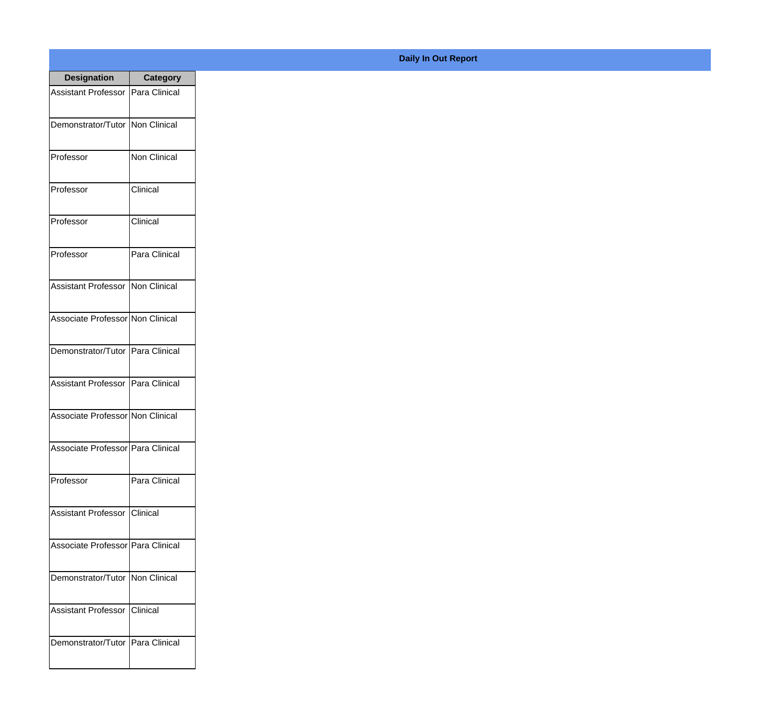| <b>Designation</b>                  | <b>Category</b>     |
|-------------------------------------|---------------------|
| Assistant Professor   Para Clinical |                     |
| Demonstrator/Tutor   Non Clinical   |                     |
| Professor                           | <b>Non Clinical</b> |
| Professor                           | Clinical            |
| Professor                           | Clinical            |
| Professor                           | Para Clinical       |
| Assistant Professor   Non Clinical  |                     |
| Associate Professor Non Clinical    |                     |
| Demonstrator/Tutor   Para Clinical  |                     |
| <b>Assistant Professor</b>          | Para Clinical       |
| Associate Professor Non Clinical    |                     |
| Associate Professor   Para Clinical |                     |
| Professor                           | Para Clinical       |
| Assistant Professor Clinical        |                     |
| Associate Professor Para Clinical   |                     |
| Demonstrator/Tutor   Non Clinical   |                     |
| <b>Assistant Professor</b>          | Clinical            |
| Demonstrator/Tutor   Para Clinical  |                     |

## **Daily In Out Report**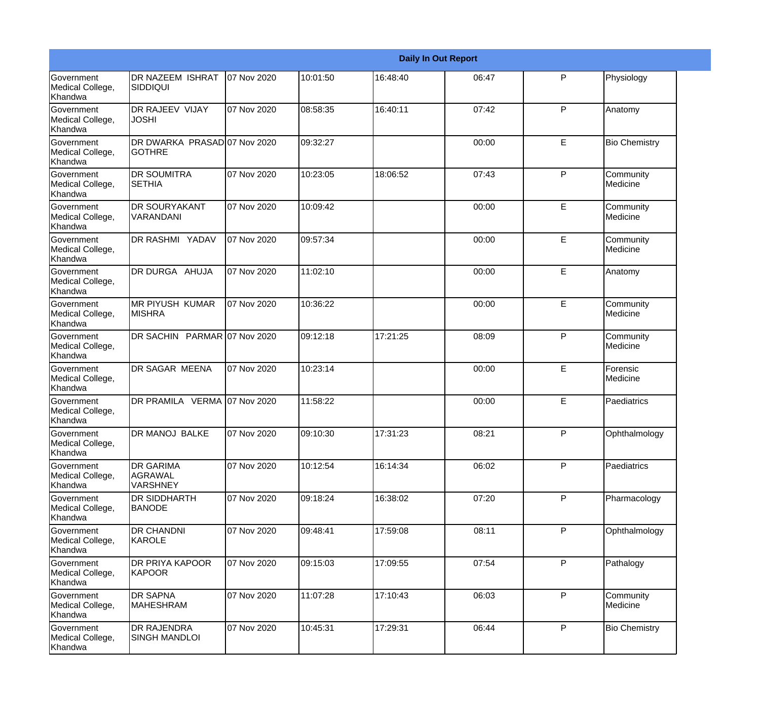|                                                  |                                                 |             |           |          | <b>Daily In Out Report</b> |              |                       |
|--------------------------------------------------|-------------------------------------------------|-------------|-----------|----------|----------------------------|--------------|-----------------------|
| Government<br>Medical College,<br>Khandwa        | DR NAZEEM ISHRAT<br><b>SIDDIQUI</b>             | 07 Nov 2020 | 10:01:50  | 16:48:40 | 06:47                      | P            | Physiology            |
| Government<br>Medical College,<br>Khandwa        | DR RAJEEV VIJAY<br><b>JOSHI</b>                 | 07 Nov 2020 | 08:58:35  | 16:40:11 | 07:42                      | $\mathsf{P}$ | Anatomy               |
| <b>Government</b><br>Medical College,<br>Khandwa | DR DWARKA PRASAD 07 Nov 2020<br><b>I</b> GOTHRE |             | 109:32:27 |          | 00:00                      | E            | <b>Bio Chemistry</b>  |
| Government<br>Medical College,<br>Khandwa        | <b>DR SOUMITRA</b><br><b>SETHIA</b>             | 07 Nov 2020 | 10:23:05  | 18:06:52 | 07:43                      | P            | Community<br>Medicine |
| <b>Government</b><br>Medical College,<br>Khandwa | <b>DR SOURYAKANT</b><br>VARANDANI               | 07 Nov 2020 | 10:09:42  |          | 00:00                      | E            | Community<br>Medicine |
| Government<br>Medical College,<br><b>Khandwa</b> | <b>DR RASHMI YADAV</b>                          | 07 Nov 2020 | 09:57:34  |          | 00:00                      | E            | Community<br>Medicine |
| Government<br>Medical College,<br>Khandwa        | <b>DR DURGA AHUJA</b>                           | 07 Nov 2020 | 11:02:10  |          | 00:00                      | E            | Anatomy               |
| <b>Government</b><br>Medical College,<br>Khandwa | <b>MR PIYUSH KUMAR</b><br><b>IMISHRA</b>        | 07 Nov 2020 | 10:36:22  |          | 00:00                      | E            | Community<br>Medicine |
| Government<br>Medical College,<br>Khandwa        | DR SACHIN PARMAR 07 Nov 2020                    |             | 09:12:18  | 17:21:25 | 08:09                      | $\mathsf{P}$ | Community<br>Medicine |
| <b>Government</b><br>Medical College,<br>Khandwa | <b>DR SAGAR MEENA</b>                           | 07 Nov 2020 | 10:23:14  |          | 00:00                      | E            | Forensic<br>Medicine  |
| <b>Government</b><br>Medical College,<br>Khandwa | DR PRAMILA VERMA 07 Nov 2020                    |             | 11:58:22  |          | 00:00                      | E            | Paediatrics           |
| Government<br>Medical College,<br>Khandwa        | DR MANOJ BALKE                                  | 07 Nov 2020 | 09:10:30  | 17:31:23 | 08:21                      | P            | Ophthalmology         |
| Government<br>Medical College,<br>Khandwa        | DR GARIMA<br><b>AGRAWAL</b><br><b>VARSHNEY</b>  | 07 Nov 2020 | 10:12:54  | 16:14:34 | 06:02                      | P            | Paediatrics           |
| Government<br>Medical College,<br>Khandwa        | DR SIDDHARTH<br><b>BANODE</b>                   | 07 Nov 2020 | 09:18:24  | 16:38:02 | 07:20                      | P            | Pharmacology          |
| Government<br>Medical College,<br>Khandwa        | <b>DR CHANDNI</b><br>KAROLE                     | 07 Nov 2020 | 09:48:41  | 17:59:08 | 08:11                      | $\mathsf{P}$ | Ophthalmology         |
| Government<br>Medical College,<br>Khandwa        | DR PRIYA KAPOOR<br><b>KAPOOR</b>                | 07 Nov 2020 | 09:15:03  | 17:09:55 | 07:54                      | P            | Pathalogy             |
| Government<br>Medical College,<br>Khandwa        | <b>DR SAPNA</b><br><b>MAHESHRAM</b>             | 07 Nov 2020 | 11:07:28  | 17:10:43 | 06:03                      | P            | Community<br>Medicine |
| Government<br>Medical College,<br>Khandwa        | DR RAJENDRA<br><b>SINGH MANDLOI</b>             | 07 Nov 2020 | 10:45:31  | 17:29:31 | 06:44                      | P            | <b>Bio Chemistry</b>  |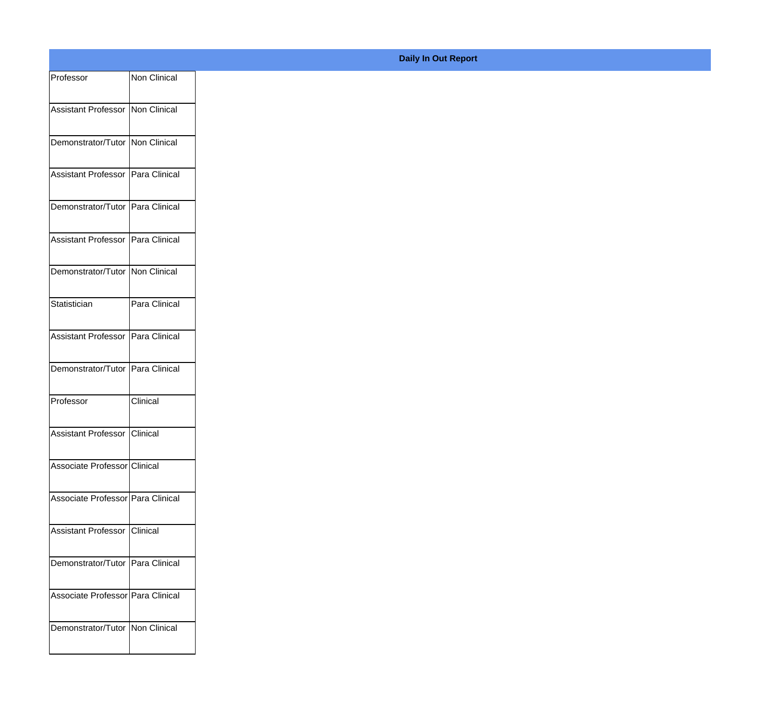| Non Clinical<br>Professor<br>Assistant Professor Non Clinical<br>Demonstrator/Tutor Non Clinical<br>Assistant Professor Para Clinical<br>Demonstrator/Tutor Para Clinical<br>Assistant Professor Para Clinical<br>Demonstrator/Tutor Non Clinical<br>Para Clinical<br>Statistician<br>Assistant Professor Para Clinical<br>Demonstrator/Tutor Para Clinical<br>Clinical<br>Professor<br>Assistant Professor Clinical<br>Associate Professor Clinical<br>Associate Professor Para Clinical<br>Assistant Professor Clinical<br>Demonstrator/Tutor Para Clinical<br>Associate Professor Para Clinical |  |
|----------------------------------------------------------------------------------------------------------------------------------------------------------------------------------------------------------------------------------------------------------------------------------------------------------------------------------------------------------------------------------------------------------------------------------------------------------------------------------------------------------------------------------------------------------------------------------------------------|--|
|                                                                                                                                                                                                                                                                                                                                                                                                                                                                                                                                                                                                    |  |
|                                                                                                                                                                                                                                                                                                                                                                                                                                                                                                                                                                                                    |  |
|                                                                                                                                                                                                                                                                                                                                                                                                                                                                                                                                                                                                    |  |
|                                                                                                                                                                                                                                                                                                                                                                                                                                                                                                                                                                                                    |  |
|                                                                                                                                                                                                                                                                                                                                                                                                                                                                                                                                                                                                    |  |
|                                                                                                                                                                                                                                                                                                                                                                                                                                                                                                                                                                                                    |  |
|                                                                                                                                                                                                                                                                                                                                                                                                                                                                                                                                                                                                    |  |
|                                                                                                                                                                                                                                                                                                                                                                                                                                                                                                                                                                                                    |  |
|                                                                                                                                                                                                                                                                                                                                                                                                                                                                                                                                                                                                    |  |
|                                                                                                                                                                                                                                                                                                                                                                                                                                                                                                                                                                                                    |  |
|                                                                                                                                                                                                                                                                                                                                                                                                                                                                                                                                                                                                    |  |
|                                                                                                                                                                                                                                                                                                                                                                                                                                                                                                                                                                                                    |  |
|                                                                                                                                                                                                                                                                                                                                                                                                                                                                                                                                                                                                    |  |
|                                                                                                                                                                                                                                                                                                                                                                                                                                                                                                                                                                                                    |  |
|                                                                                                                                                                                                                                                                                                                                                                                                                                                                                                                                                                                                    |  |
|                                                                                                                                                                                                                                                                                                                                                                                                                                                                                                                                                                                                    |  |
|                                                                                                                                                                                                                                                                                                                                                                                                                                                                                                                                                                                                    |  |
|                                                                                                                                                                                                                                                                                                                                                                                                                                                                                                                                                                                                    |  |
| Demonstrator/Tutor   Non Clinical                                                                                                                                                                                                                                                                                                                                                                                                                                                                                                                                                                  |  |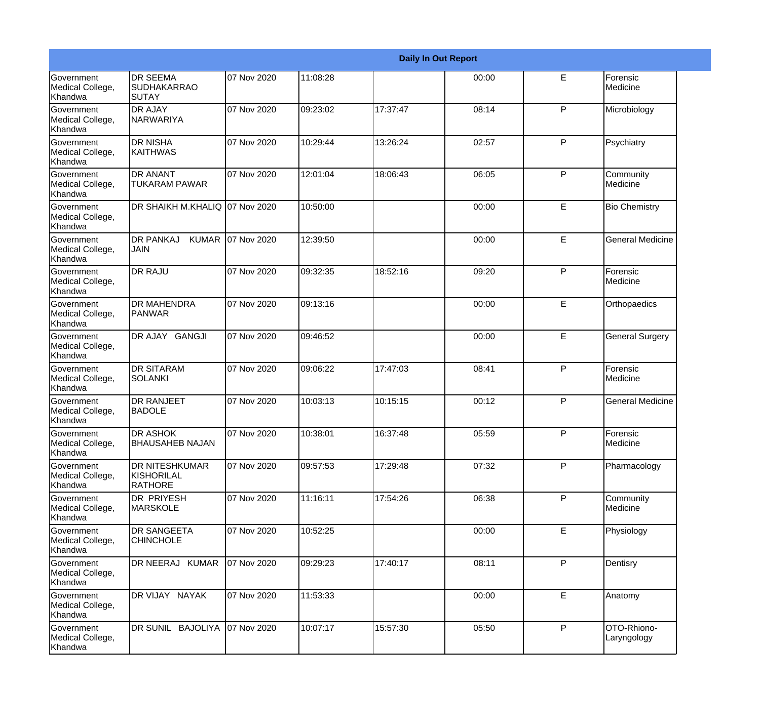|                                                  |                                                              |             |          |          | <b>Daily In Out Report</b> |              |                            |
|--------------------------------------------------|--------------------------------------------------------------|-------------|----------|----------|----------------------------|--------------|----------------------------|
| Government<br>Medical College,<br>Khandwa        | <b>DR SEEMA</b><br><b>SUDHAKARRAO</b><br><b>SUTAY</b>        | 07 Nov 2020 | 11:08:28 |          | 00:00                      | E            | Forensic<br>Medicine       |
| Government<br>Medical College,<br>Khandwa        | <b>DR AJAY</b><br>NARWARIYA                                  | 07 Nov 2020 | 09:23:02 | 17:37:47 | 08:14                      | P            | Microbiology               |
| <b>Government</b><br>Medical College,<br>Khandwa | <b>DR NISHA</b><br><b>KAITHWAS</b>                           | 07 Nov 2020 | 10:29:44 | 13:26:24 | 02:57                      | P            | Psychiatry                 |
| <b>Government</b><br>Medical College,<br>Khandwa | <b>DR ANANT</b><br><b>TUKARAM PAWAR</b>                      | 07 Nov 2020 | 12:01:04 | 18:06:43 | 06:05                      | $\mathsf{P}$ | Community<br>Medicine      |
| Government<br>Medical College,<br>Khandwa        | DR SHAIKH M.KHALIQ 07 Nov 2020                               |             | 10:50:00 |          | 00:00                      | E            | <b>Bio Chemistry</b>       |
| Government<br>Medical College,<br>Khandwa        | <b>DR PANKAJ</b><br><b>KUMAR</b><br><b>JAIN</b>              | 07 Nov 2020 | 12:39:50 |          | 00:00                      | E            | <b>General Medicine</b>    |
| <b>Government</b><br>Medical College,<br>Khandwa | <b>DR RAJU</b>                                               | 07 Nov 2020 | 09:32:35 | 18:52:16 | 09:20                      | P            | Forensic<br>Medicine       |
| Government<br>Medical College,<br>Khandwa        | <b>DR MAHENDRA</b><br>PANWAR                                 | 07 Nov 2020 | 09:13:16 |          | 00:00                      | E            | Orthopaedics               |
| Government<br>Medical College,<br>Khandwa        | DR AJAY GANGJI                                               | 07 Nov 2020 | 09:46:52 |          | 00:00                      | E            | <b>General Surgery</b>     |
| Government<br>Medical College,<br>Khandwa        | <b>DR SITARAM</b><br><b>SOLANKI</b>                          | 07 Nov 2020 | 09:06:22 | 17:47:03 | 08:41                      | P            | Forensic<br>Medicine       |
| <b>Government</b><br>Medical College,<br>Khandwa | <b>DR RANJEET</b><br><b>BADOLE</b>                           | 07 Nov 2020 | 10:03:13 | 10:15:15 | 00:12                      | P            | <b>General Medicine</b>    |
| Government<br>Medical College,<br>Khandwa        | <b>DR ASHOK</b><br><b>BHAUSAHEB NAJAN</b>                    | 07 Nov 2020 | 10:38:01 | 16:37:48 | 05:59                      | P            | Forensic<br>Medicine       |
| Government<br>Medical College,<br>Khandwa        | <b>DR NITESHKUMAR</b><br><b>KISHORILAL</b><br><b>RATHORE</b> | 07 Nov 2020 | 09:57:53 | 17:29:48 | 07:32                      | $\mathsf{P}$ | Pharmacology               |
| Government<br>Medical College,<br>Khandwa        | <b>DR PRIYESH</b><br><b>MARSKOLE</b>                         | 07 Nov 2020 | 11:16:11 | 17:54:26 | 06:38                      | $\mathsf{P}$ | Community<br>Medicine      |
| Government<br>Medical College,<br>Khandwa        | <b>DR SANGEETA</b><br><b>CHINCHOLE</b>                       | 07 Nov 2020 | 10:52:25 |          | 00:00                      | E            | Physiology                 |
| Government<br>Medical College,<br>Khandwa        | DR NEERAJ KUMAR                                              | 07 Nov 2020 | 09:29:23 | 17:40:17 | 08:11                      | $\mathsf{P}$ | Dentisry                   |
| Government<br>Medical College,<br>Khandwa        | DR VIJAY NAYAK                                               | 07 Nov 2020 | 11:53:33 |          | 00:00                      | $\mathsf E$  | Anatomy                    |
| Government<br>Medical College,<br>Khandwa        | DR SUNIL BAJOLIYA                                            | 07 Nov 2020 | 10:07:17 | 15:57:30 | 05:50                      | $\mathsf{P}$ | OTO-Rhiono-<br>Laryngology |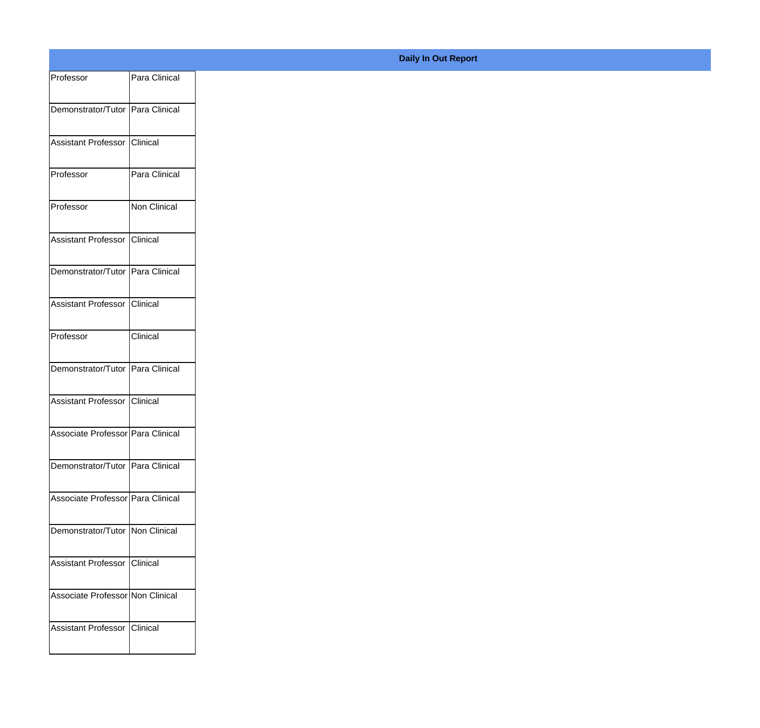| Professor                          | Para Clinical |
|------------------------------------|---------------|
| Demonstrator/Tutor Para Clinical   |               |
|                                    |               |
| Assistant Professor Clinical       |               |
| Professor                          | Para Clinical |
| Professor                          | Non Clinical  |
| Assistant Professor Clinical       |               |
|                                    |               |
| Demonstrator/Tutor Para Clinical   |               |
| Assistant Professor Clinical       |               |
| Professor                          | Clinical      |
| Demonstrator/Tutor Para Clinical   |               |
|                                    |               |
| Assistant Professor Clinical       |               |
| Associate Professor Para Clinical  |               |
| Demonstrator/Tutor   Para Clinical |               |
| Associate Professor Para Clinical  |               |
|                                    |               |
| Demonstrator/Tutor   Non Clinical  |               |
| Assistant Professor Clinical       |               |
| Associate Professor Non Clinical   |               |
|                                    |               |
| Assistant Professor Clinical       |               |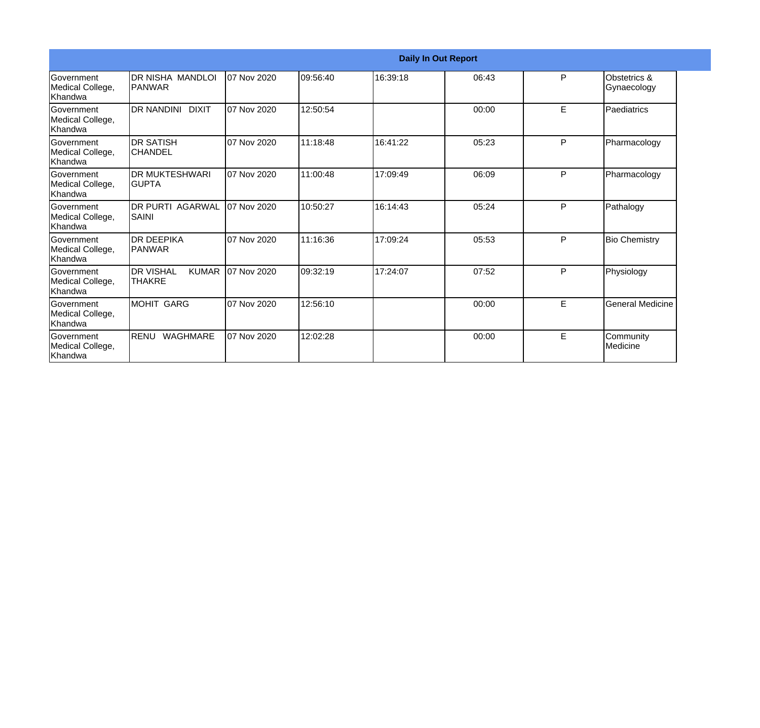|                                                  |                                                   |             |          | <b>Daily In Out Report</b> |       |   |                             |
|--------------------------------------------------|---------------------------------------------------|-------------|----------|----------------------------|-------|---|-----------------------------|
| Government<br>Medical College,<br>Khandwa        | IDR NISHA MANDLOI<br>IPANWAR                      | 07 Nov 2020 | 09:56:40 | 16:39:18                   | 06:43 | P | Obstetrics &<br>Gynaecology |
| <b>Government</b><br>Medical College,<br>Khandwa | DR NANDINI DIXIT                                  | 07 Nov 2020 | 12:50:54 |                            | 00:00 | E | Paediatrics                 |
| Government<br>Medical College,<br>Khandwa        | <b>DR SATISH</b><br><b>CHANDEL</b>                | 07 Nov 2020 | 11:18:48 | 16:41:22                   | 05:23 | P | Pharmacology                |
| <b>Government</b><br>Medical College,<br>Khandwa | <b>DR MUKTESHWARI</b><br>IGUPTA                   | 07 Nov 2020 | 11:00:48 | 17:09:49                   | 06:09 | P | Pharmacology                |
| Government<br>Medical College,<br>Khandwa        | <b>DR PURTI AGARWAL</b><br><b>SAINI</b>           | 07 Nov 2020 | 10:50:27 | 16:14:43                   | 05:24 | P | Pathalogy                   |
| Government<br>Medical College,<br><b>Khandwa</b> | IDR DEEPIKA<br>IPANWAR                            | 07 Nov 2020 | 11:16:36 | 17:09:24                   | 05:53 | P | <b>Bio Chemistry</b>        |
| <b>Government</b><br>Medical College,<br>Khandwa | <b>DR VISHAL</b><br><b>KUMAR</b><br><b>THAKRE</b> | 07 Nov 2020 | 09:32:19 | 17:24:07                   | 07:52 | P | Physiology                  |
| Government<br>Medical College,<br>Khandwa        | <b>MOHIT GARG</b>                                 | 07 Nov 2020 | 12:56:10 |                            | 00:00 | E | <b>General Medicine</b>     |
| Government<br>Medical College,<br>Khandwa        | RENU<br>WAGHMARE                                  | 07 Nov 2020 | 12:02:28 |                            | 00:00 | E | Community<br>Medicine       |